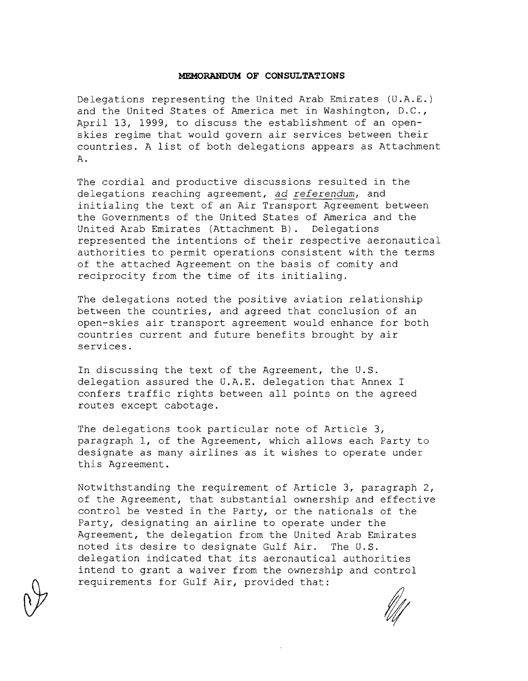#### **MEMORANDUM OF CONSULTATIONS**

Delegations representing the United Arab Emirates (U.A.E.) and the United States of America met in Washington, **D.C.,**  April 13, 1999, to discuss the establishment of an openskies regime that would govern air services between their countries. A list of both delegations appears as Attachment **A.** 

The cordial and productive discussions resulted in the delegations reaching agreement, ad *referendum,* and initialing the text of an Air Transport Agreement between the Governments of the United States of America and the United Arab Emirates (Attachment B). Delegations represented the intentions of their respective aeronautical authorities to permit operations consistent with the terms of the attached Agreement on the basis of comity and reciprocity from the time of its initialing.

The delegations noted the positive aviation relationship between the countries, and agreed that conclusion of an open-skies air transport agreement would enhance for both countries current and future benefits brought by air services.

In discussing the text of the Agreement, the **U.S.**  delegation assured the **U.A.E.** delegation that Annex I confers traffic rights between all points on the agreed routes except cabotage.

The delegations took particular note of Article 3, paragraph 1, of the Agreement, which allows each Party to designate as many airlines as it wishes to operate under this Agreement.

Notwithstanding the requirement of Article 3, paragraph 2, of the Agreement, that substantial ownership and effective control be vested in the Party, or the nationals of the Party, designating an airline to operate under the Agreement, the delegation from the United Arab Emirates noted its desire to designate Gulf Air. The **U.S.**  delegation indicated that its aeronautical authorities intend to grant a waiver from the ownership and control requirements for Gulf Air, provided that: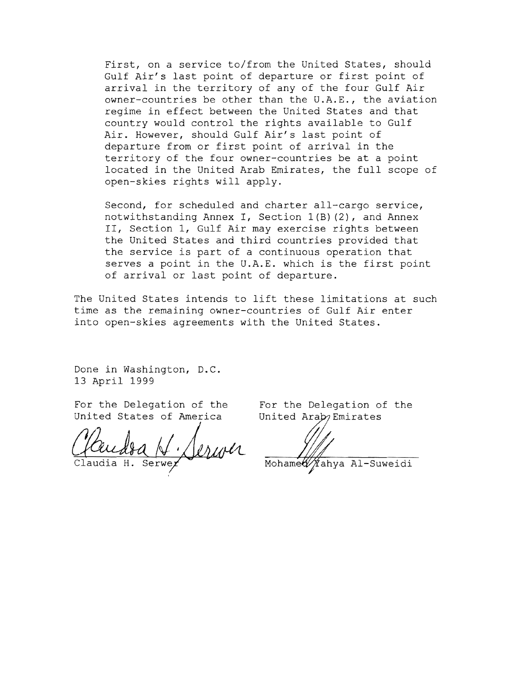First, on a service to/from the United States, should Gulf Air's last point of departure or first point of arrival in the territory of any of the four Gulf Air owner-countries be other than the U.A.E., the aviation regime in effect between the United States and that country would control the rights available to Gulf Air. However, should Gulf Air's last point of departure from or first point of arrival in the territory of the four owner-countries be at a point located in the United Arab Emirates, the full scope of open-skies rights will apply.

Second, for scheduled and charter all-cargo service, notwithstanding Annex I, Section l(B) (2), and Annex II, Section 1, Gulf Air may exercise rights between the United States and third countries provided that the service is part of a continuous operation that serves a point in the U.A.E. which is the first point of arrival or last point of departure.

The United States intends to lift these limitations at such time as the remaining owner-countries of Gulf Air enter into open-skies agreements with the United States.

Done in Washington, D.C. 13 April 1999

For the Delegation of the For the Delegation of the United States of America United Araby Emirates United States of America

Mohamed ∦ahya Al-Suweidi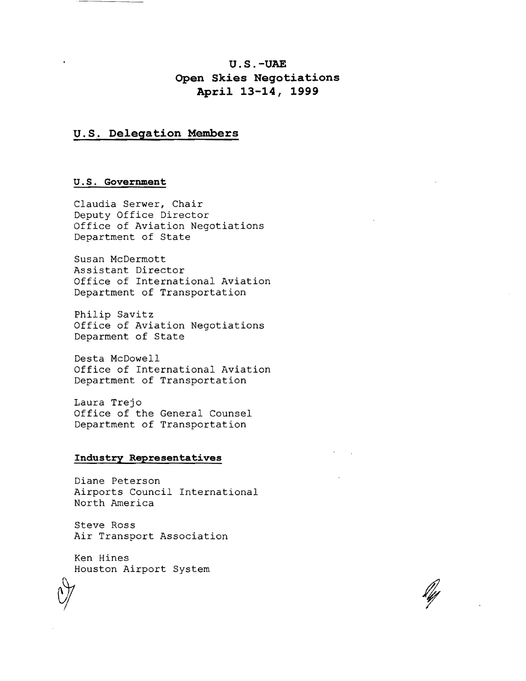# **U.S.-UAE Open Skies Negotiations April 13-14, 1999**

### **U.S. Delegation Members**

#### u . S. **Government**

Claudia Serwer, Chair Deputy Office Director Office of Aviation Negotiations Department of State

Susan McDermott Assistant Director Office of International Aviation Department of Transportation

Philip Savitz Office of Aviation Negotiations Deparment of State

Desta McDowell Office of International Aviation Department of Transportation

Laura Trejo Office of the General Counsel Department of Transportation

#### **Industry Representatives**

Diane Peterson Airports Council International North America

Steve Ross Air Transport Association

Ken Hines Houston Airport System

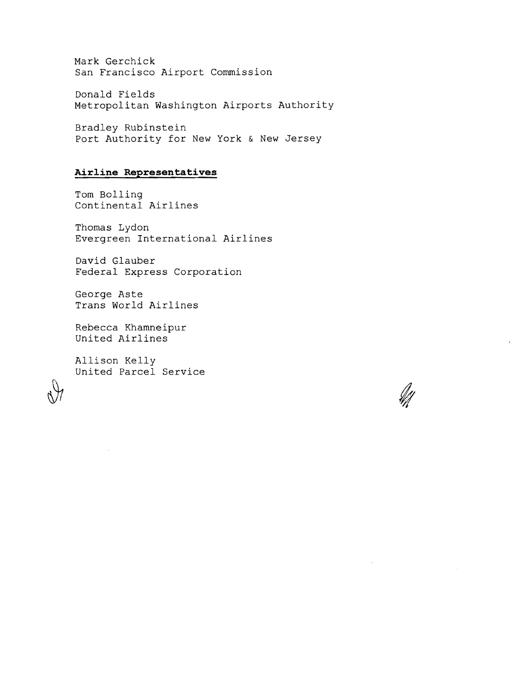Mark Gerchick San Francisco Airport Commission

Donald Fields Metropolitan Washington Airports Authority

Bradley Rubinstein Port Authority for New York & New Jersey

## **Airline Representatives**

Tom Bolling Continental Airlines

Thomas Lydon Evergreen International Airlines

David Glauber Federal Express Corporation

George Aste Trans World Airlines

Rebecca Khamneipur United Airlines

Allison Kelly United Parcel Service